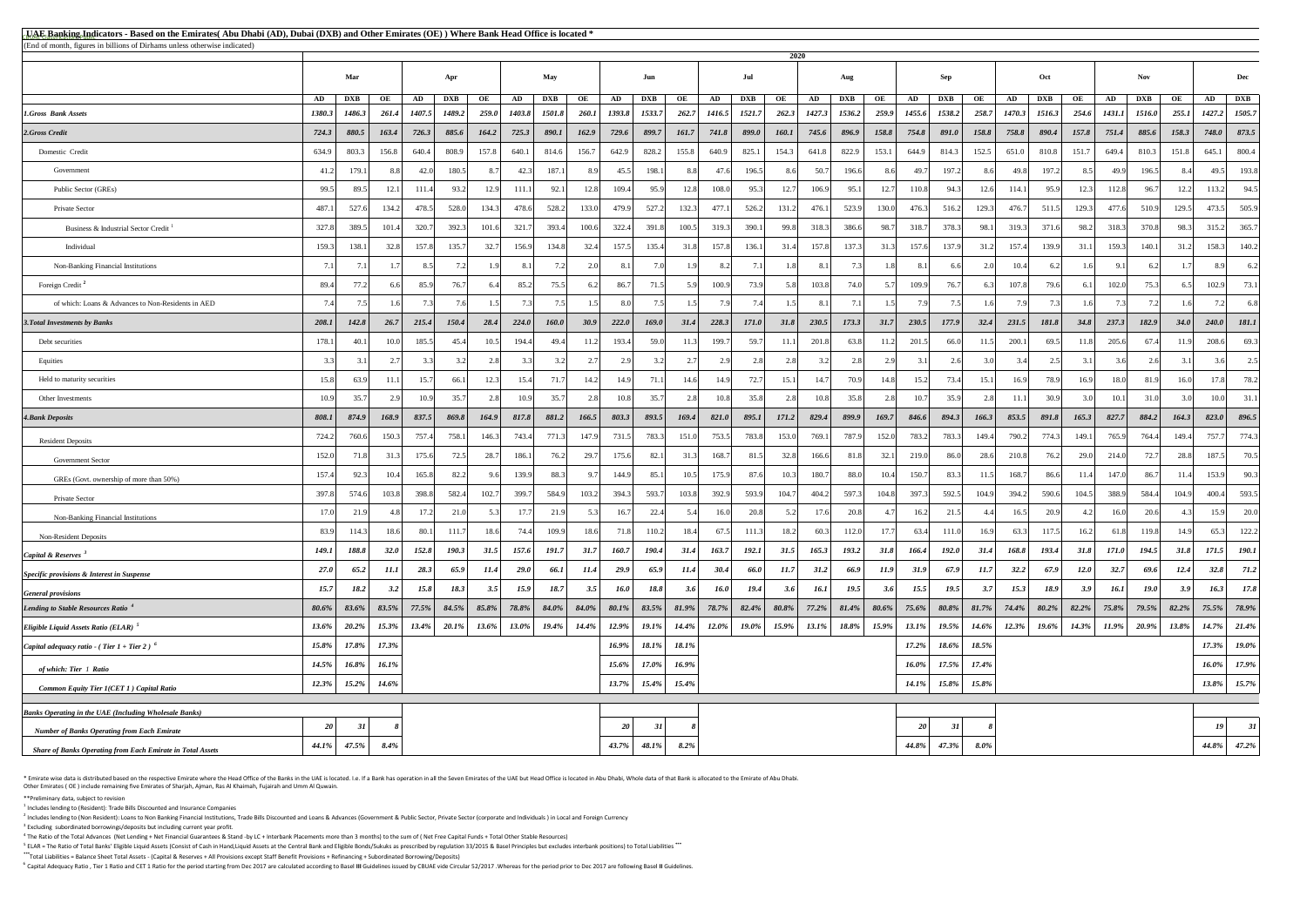<sup>5</sup> ELAR = The Ratio of Total Banks' Eligible Liquid Assets (Consist of Cash in Hand,Liquid Assets at the Central Bank and Eligible Bonds/Sukuks as prescribed by regulation 33/2015 & Basel Principles but excludes interbank **\*\*\***Total Liabilities = Balance Sheet Total Assets - (Capital & Reserves + All Provisions except Staff Benefit Provisions + Refinancing + Subordinated Borrowing/Deposits)

<sup>6</sup> Capital Adequacy Ratio, Tier 1 Ratio and CET 1 Ratio for the period starting from Dec 2017 are calculated according to Basel III Guidelines issued by CBUAE vide Circular 52/2017. Whereas for the period prior to Dec 201

\* Emirate wise data is distributed based on the respective Emirate where the Head Office of the Banks in the UAE is located. I.e. If a Bank has operation in all the Seven Emirates of the UAE but Head Office is located in A Other Emirates ( OE ) include remaining five Emirates of Sharjah, Ajman, Ras Al Khaimah, Fujairah and Umm Al Quwain.

| <b>EUAE Banking Indicators - Based on the Emirates</b> (Abu Dhabi (AD), Dubai (DXB) and Other Emirates (OE)) Where Bank Head Office is located * |                 |            |             |          |            |              |              |              |          |                 |             |          |          |            |              |          |              |            |          |             |          |          |              |          |               |            |             |                |              |
|--------------------------------------------------------------------------------------------------------------------------------------------------|-----------------|------------|-------------|----------|------------|--------------|--------------|--------------|----------|-----------------|-------------|----------|----------|------------|--------------|----------|--------------|------------|----------|-------------|----------|----------|--------------|----------|---------------|------------|-------------|----------------|--------------|
| (End of month, figures in billions of Dirhams unless otherwise indicated)                                                                        |                 |            |             |          |            |              |              |              |          |                 |             |          |          |            |              | 2020     |              |            |          |             |          |          |              |          |               |            |             |                |              |
|                                                                                                                                                  |                 | Mar        |             |          |            | Apr          |              |              |          | Jun             |             |          | Jul      |            |              | Aug      |              | <b>Sep</b> |          | Oct         |          |          | <b>Nov</b>   |          |               |            |             | Dec            |              |
|                                                                                                                                                  | AD              | <b>DXB</b> | OE          | AD       | <b>DXB</b> | OE           | AD           | <b>DXB</b>   | OE       | AD              | <b>DXB</b>  | OE       | AD       | <b>DXB</b> | OE           | AD       | <b>DXB</b>   | OE         | AD       | <b>DXB</b>  | OE       | AD       | <b>DXB</b>   | OE       | AD            | <b>DXB</b> | OE          | AD             | <b>DXB</b>   |
| 1.Gross Bank Assets                                                                                                                              | 1380.3          | 1486.3     | 261.4       | 1407.5   | 1489.2     | <b>259.0</b> | 1403.8       | 1501.8       | 260.1    | 1393.8          | 1533.7      | 262.7    | 1416.5   | 1521.7     | 262.3        | 1427.3   | 1536.2       | 259.9      | 1455.6   | 1538.2      | 258.7    | 1470.3   | 1516.3       | 254.6    | <b>1431.1</b> | 1516.0     | 255.1       | 1427.2         | 1505.7       |
| 2.Gross Credit                                                                                                                                   | 724.3           | 880.5      | 163.4       | 726.3    | 885.6      | 164.2        | 725.3        | 890.1        | 162.9    | 729.6           | 899.7       | 161.7    | 741.8    | 899.0      | <b>160.1</b> | 745.6    | 896.9        | 158.8      | 754.8    | 891.0       | 158.8    | 758.8    | 890.4        | 157.8    | 751.4         | 885.6      | 158.3       | 748.0          | 873.5        |
| Domestic Credit                                                                                                                                  | 634.9           | 803.3      | 156.8       | 640.4    | 808.9      | 157.8        | 640.1        | 814.6        | 156.7    | 642.9           | 828.2       | 155.8    | 640.9    | 825.1      | 154.3        | 641.8    | 822.9        | 153.1      | 644.9    | 814.3       | 152.5    | 651.0    | 810.8        | 151.7    | 649.4         | 810.3      | 151.8       | 645.1          | 800.4        |
| Government                                                                                                                                       | 41.2            | 179.1      | 88          | 42.0     | 180.5      | 8.7          | 42.3         | 187.1        | 89       | 45.5            | 198.1       | 8.8      | 47.6     | 196.5      | 8.6          | 50.7     | 196.6        | 8.6        | 49.7     | 197.2       | 8.6      | 49.8     | 197.2        | 8.5I     | 49.9          | 196.5      |             | 49.5           | 193.8        |
| Public Sector (GREs)                                                                                                                             | 99.5            | 89.5       | 12.1        | 111.4    | 93.2       | 12.9         | 111.         | 92.1         | 12.8     | 109.4           | 95.9        | 12.8     | 108.0    | 95.3       | 12.7         | 106.9    | 95.1         | 12.7       | 110.8    | 94.3        | 12.6     | 114.1    | 95.9         | 12.3     | 112.8         | 96.7       | 12.2        | 113.2          | 94.5         |
| Private Sector                                                                                                                                   | 487.1           | 527.6      | 134.2       | 478.5    | 528.0      | 134.3        | 478.6        | 528.2        | 133.0    | 479.9           | 527.2       | 132.3    | 477.1    | 526.2      | 131.2        | 476.1    | 523.9        | 130.0      | 476.3    | 516.2       | 129.3    | 476.7    | 511.5        | 129.3    | 477.6         | 510.9      | 129.5       | 473.5          | 505.9        |
| Business & Industrial Sector Credit <sup>1</sup>                                                                                                 | 327.8           | 389.5      | 101.4       | 320.7    | 392.3      | 101.6        | 321.7        | 393.4        | 100.6    | 322.4           | 391.8       | 100.5    | 319.3    | 390.1      | 99.8         | 318.3    | 386.6        | 98.7       | 318.7    | 378.3       | 98.1     | 319.3    | 371.6        | 98.2     | 318.3         | 370.8      | 98.3        | 315.2          | 365.7        |
| Individual                                                                                                                                       | 159.3           | 138.1      | 32.8        | 157.8    | 135.7      | 32.7         | 156.9        | 134.8        | 32.4     | 157.5           | 135.4       | 31.8     | 157.8    | 136.1      | 31.4         | 157.8    | 137.3        | 31.3       | 157.6    | 137.9       | 31.2     | 157.4    | 139.9        | 31.1     | 159.3         | 140.1      | 31.2        | 158.3          | 140.2        |
| <b>Non-Banking Financial Institutions</b>                                                                                                        |                 |            |             | 85       | 7.2        |              | 8.1          |              | 2.0      | 8.1             |             |          | 8.2      | 7.1        |              | 8.1      |              |            |          |             |          | 10.4     |              |          |               |            |             | 8.9            | 6.2          |
| Foreign Credit <sup>2</sup>                                                                                                                      | 89.4            | 77.2       |             | 85.9     | 76.7       |              | 85.2         | 75.5         |          | 86.7            | 71.5        |          | 100.9    | 73.9       |              | 103.8    | 74.0         |            | 109.9    | 76.7        |          | 107.8    | 79.6         |          | 102.0         | 75.3       | 6.5I        | 102.9          | 73.1         |
| of which: Loans & Advances to Non-Residents in AED                                                                                               |                 |            |             |          |            |              | 73           |              |          | 80              | 75          |          | 7.9      |            |              | 8.1      |              |            |          | 75          |          |          |              |          |               |            |             | 7.2            | 6.8          |
| <b>3. Total Investments by Banks</b>                                                                                                             | 208.1           | 142.8      | 26.7        | 215.4    | 150.4      | 28.4         | <b>224.0</b> | <b>160.0</b> | 30.9     | 222.0           | 169.0       | 31.4     | 228.3    | 171.0      | 31.8         | 230.5    | 173.3        | 31.7       | 230.5    | 177.9       | 32.4     | 231.5    | <b>181.8</b> | 34.8     | 237.3         | 182.9      | 34.0        | 240.0          | 181.1        |
| Debt securities                                                                                                                                  | 178.1           | 40.1       | 10.0        | 185.5    | 45.4       | 10.5         | 194.4        | 49.4         | 11.2     | 193.4           | 59.0        | 11.3     | 199.7    | 59.7       | 11.1         | 201.8    | 63.8         | 11.2       | 201.5    | 66.0        | 11.5     | 200.1    | 69.5         | 11.8     | 205.6         | 67.4       | 11.9        | 208.6          | 69.3         |
| Equities                                                                                                                                         |                 |            |             |          |            | 2.8          |              |              |          |                 |             |          | 2.9      | 2.8        | 2.8          |          |              |            |          |             |          |          | 2.5          |          |               | 2.6        |             | 3.6            | 2.5          |
| Held to maturity securities                                                                                                                      | 15.8            | 63.9       | 11.1        | 15.7     | 66.1       | 12.3         | 15.4         | 71.7         | 14.2     | 14.9            | 71.1        | 14.6     | 14.9     | 72.7       | 15.1         | 14.7     | 70.9         | 14.8       | 15.2     | 73.4        | 15.1     | 16.9     | 78.9         | 16.9     | 18.0          | 81.9       | 16.0        | 17.8           | 78.2         |
| Other Investments                                                                                                                                | 10.9            |            |             | 10.9     | 35.7       |              | 10.9         | 35.7         |          | 10.8            | 35.7        | 2.8      | 10.8     | 35.8       |              | 10.8     | 35.8         |            | 10.7     | 35.9        | 2.8      | 11.1     | 30.9         |          | 10.1          | 31.0       | 3.0         | 10.0           | 31.1         |
| <b>4. Bank Deposits</b>                                                                                                                          | 808.1           | 874.9      | 168.9       | 837.5    | 869.8      | 164.9        | 817.8        | 881.2        | 166.5    | 803.3           | 893.5       | 169.4    | 821.0    | 895.1      | 171.2        | 829.4    | 899.9        | 169.7      | 846.6    | 894.3       | 166.3    | 853.5    | 891.8        | 165.3    | 827.7         | 884.2      | 164.3       | 823.0          | 896.5        |
| <b>Resident Deposits</b>                                                                                                                         | 724.2           | 760.6      | 150.3       | 757.4    | 758.1      | 146.3        | 743.4        | 771.3        | 147.9    | 731.5           | 783.3       | 151.0    | 753.5    | 783.8      | 153.0        | 769.1    | 787.9        | 152.0      | 783.2    | 783.3       | 149.4    | 790.2    | 774.3        | 149.1    | 765.9         | 764.4      | 149.4       | 757.7          | 774.3        |
| <b>Government Sector</b>                                                                                                                         | 152.0           | 71.8       | 31.3        | 175.6    | 72.5       | 28.7         | 186.1        | 76.2         | 29.7     | 175.6           | 82.1        | 31.3     | 168.7    | 81.5       | 32.8         | 166.6    | 81.8         | 32.1       | 219.0    | 86.0        | 28.6     | 210.8    | 76.2         | 29.0     | 214.0         | 72.7       | 28.8        | 187.5          | 70.5         |
| GREs (Govt. ownership of more than 50%)                                                                                                          | 157.4           | 92.3       | 10.4        | 165.8    | 82.2       | 9.6          | 139.9        | 88.3         |          | 144.9           | 85.1        | 10.5     | 175.9    | 87.6       | 10.3         | 180.7    | 88.0         | 10.4       | 150.7    | 83.3        | 11.5     | 168.7    | 86.6         | 11.4     | 147.0         | 86.7       | 11.4        | 153.9          | 90.3         |
| Private Sector                                                                                                                                   | 397.8           | 574.6      | 103.8       | 398.8    | 582.4      | 102.7        | 399.7        | 584.9        | 103.2    | 394.3           | 593.7       | 103.8    | 392.9    | 593.9      | 104.7        | 404.2    | 597.3        | 104.8      | 397.3    | 592.5       | 104.9    | 394.2    | 590.6        | 104.5    | 388.9         | 584.4      | 104.9       | 400.4          | 593.5        |
| Non-Banking Financial Institutions                                                                                                               | 17.0            | 21.9       |             | 17.2     | 21.0       |              | 17.7         | 21.9         |          | 16.7            | 22.4        |          | 16.0     | 20.8       |              | 17.6     | 20.8         |            | 16.2     | 21.5        |          | 16.5     | 20.9         |          | 16.0          | 20.6       |             | 15.9           | 20.0         |
| <b>Non-Resident Deposits</b>                                                                                                                     | 83.9            | 114.3      | 18.6        | 80.1     | 111.7      | 18.6         | 74.4         | 109.9        | 18.6     | 71.8            | 110.2       | 18.4     | 67.5     | 111.3      | 18.2         | 60.3     | 112.0        |            | 63.4     | 111.0       | 16.9     | 63.3     | 117.5        | 16.2     | 61.8          | 119.8      | 14.9        | 65.3           | 122.2        |
| <i>Capital &amp; Reserves</i> $3$                                                                                                                | 149.1           | 188.8      | <b>32.0</b> | 152.8    | 190.3      | 31.5         | 157.6        | 191.7        | 31.7     | 160.7           | 190.4       | 31.4     | 163.7    | 192.1      | 31.5         | 165.3    | <b>193.2</b> | 31.8       | 166.4    | 192.0       | 31.4     | 168.8    | 193.4        | 31.8     | 171.0         | 194.5      | 31.8        | 171.5          | <b>190.1</b> |
| Specific provisions & Interest in Suspense                                                                                                       | <b>27.0</b>     | 65.2       |             | 28.3     | 65.9       | 11.4         | <b>29.0</b>  | 66.1         | 11.4     | 29.9            | 65.9        | 11.4     | 30.4     | 66.0       | 11.7         | 31.2     | 66.9         | 11.9       | 31.9     | 67.9        | 11.7     | 32.2     | 67.9         | 12.0     | 32.7          | 69.6       | <b>12.4</b> | 32.8           | 71.2         |
| <b>General provisions</b>                                                                                                                        | 15.7            | 18.2       | 3.2         | 15.8     | 18.3       | 3.5          | 15.9         | 18.7         | 3.5      | 16.0            | <b>18.8</b> | 3.6      | 16.0     | 19.4       | 3.6          | 16.1     | 19.5         | 3.6        | 15.5     | <b>19.5</b> | 3.7      | 15.3     | 18.9         | 3.9      | 16.1          | 19.0       | 3.9         | 16.3           | 17.8         |
| Lending to Stable Resources Ratio <sup>4</sup>                                                                                                   | 80.6%           | 83.6%      | 83.5%       | $77.5\%$ | $84.5\%$   | $85.8\%$     | 78.8%        | $84.0\%$     | $84.0\%$ | $80.1\%$        | $83.5\%$    | $81.9\%$ | 78.7%    | $82.4\%$   | $80.8\%$     | $77.2\%$ | $81.4\%$     | $80.6\%$   | $75.6\%$ | $80.8\%$    | $81.7\%$ | $74.4\%$ | $80.2\%$     | $82.2\%$ | $75.8\%$      | 79.5%      | $82.2\%$    | 75.5% 78.9%    |              |
| <i>Eligible Liquid Assets Ratio (ELAR)</i>                                                                                                       | 13.6%           | 20.2%      | 15.3%       | 13.4%    | $20.1\%$   | $13.6\%$     | $13.0\%$     | $19.4\%$     | $14.4\%$ | $12.9\%$        | $19.1\%$    | $14.4\%$ | $12.0\%$ | $19.0\%$   | $15.9\%$     | $13.1\%$ | 18.8%        | 15.9%      | 13.1%    | 19.5%       | 14.6%    | 12.3%    | $19.6\%$     | $14.3\%$ | $11.9\%$      | 20.9%      | 13.8%       | $14.7\%$ 21.4% |              |
| <i>Capital adequacy ratio - (Tier 1 + Tier 2)</i> $\delta$                                                                                       | 15.8%           | 17.8%      | 17.3%       |          |            |              |              |              |          | $16.9\%$        | $18.1\%$    | 18.1%    |          |            |              |          |              |            | $17.2\%$ | 18.6%       | 18.5%    |          |              |          |               |            |             | $17.3\%$       | 19.0%        |
| of which: Tier 1 Ratio                                                                                                                           | 14.5%           | 16.8%      | 16.1%       |          |            |              |              |              |          | $15.6\%$        | $17.0\%$    | 16.9%    |          |            |              |          |              |            | 16.0%    | 17.5%       | 17.4%    |          |              |          |               |            |             | $16.0\%$       | 17.9%        |
| <b>Common Equity Tier 1(CET 1) Capital Ratio</b>                                                                                                 | 12.3%           | 15.2%      | 14.6%       |          |            |              |              |              |          | 13.7%           | $15.4\%$    | $15.4\%$ |          |            |              |          |              |            | $14.1\%$ | 15.8%       | 15.8%    |          |              |          |               |            |             | 13.8%          | 15.7%        |
| <b>Banks Operating in the UAE (Including Wholesale Banks)</b>                                                                                    |                 |            |             |          |            |              |              |              |          |                 |             |          |          |            |              |          |              |            |          |             |          |          |              |          |               |            |             |                |              |
| <b>Number of Banks Operating from Each Emirate</b>                                                                                               | 20 <sup>°</sup> |            |             |          |            |              |              |              |          | 20 <sup>°</sup> | 31          |          |          |            |              |          |              |            | 20       | 31          |          |          |              |          |               |            |             | 19             | 31           |
| <b>Share of Banks Operating from Each Emirate in Total Assets</b>                                                                                | 47.5%           | $8.4\%$    |             |          |            |              |              |              | 43.7%    | 48.1%           | $8.2\%$     |          |          |            |              |          |              | 44.8%      | 47.3%    | $8.0\%$     |          |          |              |          |               |            | 44.8%       | 47.2%          |              |

\*\*Preliminary data, subject to revision

 $<sup>1</sup>$  Includes lending to (Resident): Trade Bills Discounted and Insurance Companies</sup>

<sup>2</sup> Includes lending to (Non Resident): Loans to Non Banking Financial Institutions, Trade Bills Discounted and Loans & Advances (Government & Public Sector, Private Sector (corporate and Individuals) in Local and Foreign  $3$  Excluding subordinated borrowings/deposits but including current year profit.

 $^4$  The Ratio of the Total Advances (Net Lending + Net Financial Guarantees & Stand -by LC + Interbank Placements more than 3 months) to the sum of (Net Free Capital Funds + Total Other Stable Resources)